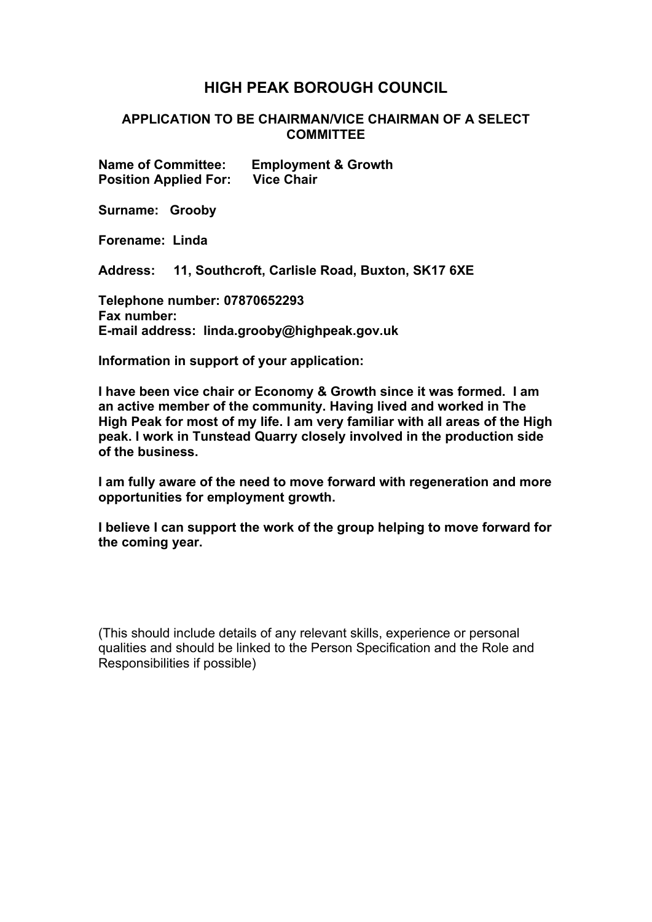## **HIGH PEAK BOROUGH COUNCIL**

## **APPLICATION TO BE CHAIRMAN/VICE CHAIRMAN OF A SELECT COMMITTEE**

**Name of Committee: Employment & Growth Position Applied For: Vice Chair**

**Surname: Grooby**

**Forename: Linda**

**Address: 11, Southcroft, Carlisle Road, Buxton, SK17 6XE**

**Telephone number: 07870652293 Fax number: E-mail address: linda.grooby@highpeak.gov.uk**

**Information in support of your application:**

**I have been vice chair or Economy & Growth since it was formed. I am an active member of the community. Having lived and worked in The High Peak for most of my life. I am very familiar with all areas of the High peak. I work in Tunstead Quarry closely involved in the production side of the business.**

**I am fully aware of the need to move forward with regeneration and more opportunities for employment growth.**

**I believe I can support the work of the group helping to move forward for the coming year.**

(This should include details of any relevant skills, experience or personal qualities and should be linked to the Person Specification and the Role and Responsibilities if possible)